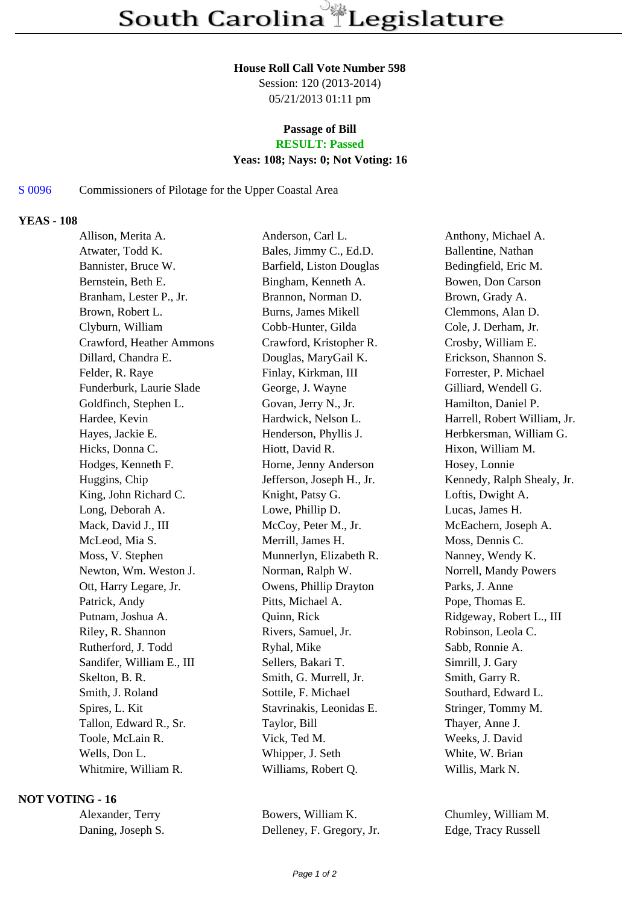### **House Roll Call Vote Number 598**

Session: 120 (2013-2014) 05/21/2013 01:11 pm

### **Passage of Bill RESULT: Passed**

# **Yeas: 108; Nays: 0; Not Voting: 16**

## S 0096 Commissioners of Pilotage for the Upper Coastal Area

### **YEAS - 108**

| Allison, Merita A.        | Anderson, Carl L.          | Anthony, Michael A.          |
|---------------------------|----------------------------|------------------------------|
| Atwater, Todd K.          | Bales, Jimmy C., Ed.D.     | Ballentine, Nathan           |
| Bannister, Bruce W.       | Barfield, Liston Douglas   | Bedingfield, Eric M.         |
| Bernstein, Beth E.        | Bingham, Kenneth A.        | Bowen, Don Carson            |
| Branham, Lester P., Jr.   | Brannon, Norman D.         | Brown, Grady A.              |
| Brown, Robert L.          | <b>Burns, James Mikell</b> | Clemmons, Alan D.            |
| Clyburn, William          | Cobb-Hunter, Gilda         | Cole, J. Derham, Jr.         |
| Crawford, Heather Ammons  | Crawford, Kristopher R.    | Crosby, William E.           |
| Dillard, Chandra E.       | Douglas, MaryGail K.       | Erickson, Shannon S.         |
| Felder, R. Raye           | Finlay, Kirkman, III       | Forrester, P. Michael        |
| Funderburk, Laurie Slade  | George, J. Wayne           | Gilliard, Wendell G.         |
| Goldfinch, Stephen L.     | Govan, Jerry N., Jr.       | Hamilton, Daniel P.          |
| Hardee, Kevin             | Hardwick, Nelson L.        | Harrell, Robert William, Jr. |
| Hayes, Jackie E.          | Henderson, Phyllis J.      | Herbkersman, William G.      |
| Hicks, Donna C.           | Hiott, David R.            | Hixon, William M.            |
| Hodges, Kenneth F.        | Horne, Jenny Anderson      | Hosey, Lonnie                |
| Huggins, Chip             | Jefferson, Joseph H., Jr.  | Kennedy, Ralph Shealy, Jr.   |
| King, John Richard C.     | Knight, Patsy G.           | Loftis, Dwight A.            |
| Long, Deborah A.          | Lowe, Phillip D.           | Lucas, James H.              |
| Mack, David J., III       | McCoy, Peter M., Jr.       | McEachern, Joseph A.         |
| McLeod, Mia S.            | Merrill, James H.          | Moss, Dennis C.              |
| Moss, V. Stephen          | Munnerlyn, Elizabeth R.    | Nanney, Wendy K.             |
| Newton, Wm. Weston J.     | Norman, Ralph W.           | Norrell, Mandy Powers        |
| Ott, Harry Legare, Jr.    | Owens, Phillip Drayton     | Parks, J. Anne               |
| Patrick, Andy             | Pitts, Michael A.          | Pope, Thomas E.              |
| Putnam, Joshua A.         | Quinn, Rick                | Ridgeway, Robert L., III     |
| Riley, R. Shannon         | Rivers, Samuel, Jr.        | Robinson, Leola C.           |
| Rutherford, J. Todd       | Ryhal, Mike                | Sabb, Ronnie A.              |
| Sandifer, William E., III | Sellers, Bakari T.         | Simrill, J. Gary             |
| Skelton, B. R.            | Smith, G. Murrell, Jr.     | Smith, Garry R.              |
| Smith, J. Roland          | Sottile, F. Michael        | Southard, Edward L.          |
| Spires, L. Kit            | Stavrinakis, Leonidas E.   | Stringer, Tommy M.           |
| Tallon, Edward R., Sr.    | Taylor, Bill               | Thayer, Anne J.              |
| Toole, McLain R.          | Vick, Ted M.               | Weeks, J. David              |
| Wells, Don L.             | Whipper, J. Seth           | White, W. Brian              |
| Whitmire, William R.      | Williams, Robert Q.        | Willis, Mark N.              |
|                           |                            |                              |

# **NOT VOTING - 16**

Alexander, Terry Bowers, William K. Chumley, William M. Daning, Joseph S. Delleney, F. Gregory, Jr. Edge, Tracy Russell